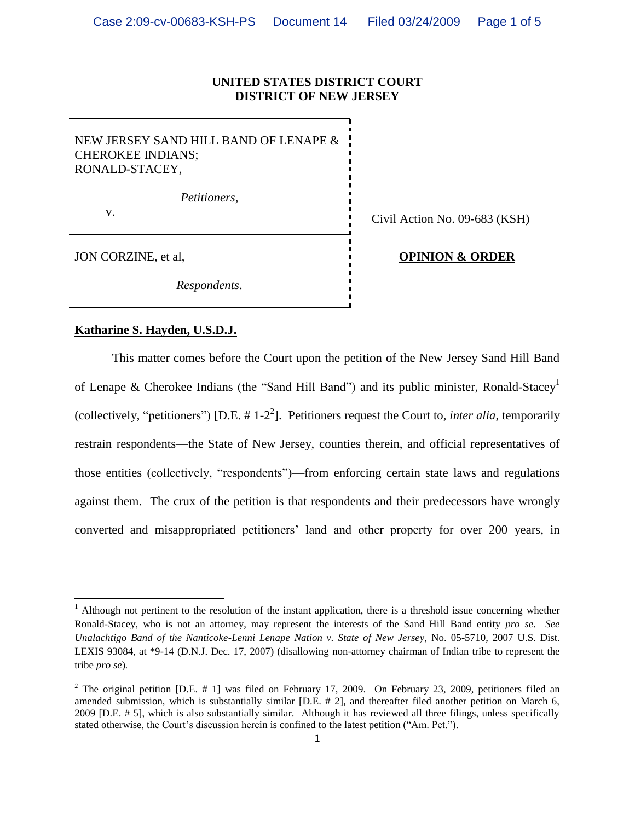## **UNITED STATES DISTRICT COURT DISTRICT OF NEW JERSEY**

NEW JERSEY SAND HILL BAND OF LENAPE & CHEROKEE INDIANS; RONALD-STACEY,

*Petitioners*,

 $\overline{\phantom{a}}$ 

v.<br>
Civil Action No. 09-683 (KSH)

## JON CORZINE, et al, **OPINION & ORDER**

*Respondents*.

## **Katharine S. Hayden, U.S.D.J.**

This matter comes before the Court upon the petition of the New Jersey Sand Hill Band of Lenape & Cherokee Indians (the "Sand Hill Band") and its public minister, Ronald-Stacey<sup>1</sup> (collectively, "petitioners") [D.E.  $# 1-2^2$ ]. Petitioners request the Court to, *inter alia*, temporarily restrain respondents—the State of New Jersey, counties therein, and official representatives of those entities (collectively, "respondents")—from enforcing certain state laws and regulations against them. The crux of the petition is that respondents and their predecessors have wrongly converted and misappropriated petitioners' land and other property for over 200 years, in

 $1$  Although not pertinent to the resolution of the instant application, there is a threshold issue concerning whether Ronald-Stacey, who is not an attorney, may represent the interests of the Sand Hill Band entity *pro se*. *See Unalachtigo Band of the Nanticoke-Lenni Lenape Nation v. State of New Jersey*, No. 05-5710, 2007 U.S. Dist. LEXIS 93084, at \*9-14 (D.N.J. Dec. 17, 2007) (disallowing non-attorney chairman of Indian tribe to represent the tribe *pro se*)*.*

<sup>&</sup>lt;sup>2</sup> The original petition [D.E. # 1] was filed on February 17, 2009. On February 23, 2009, petitioners filed an amended submission, which is substantially similar [D.E. # 2], and thereafter filed another petition on March 6, 2009 [D.E. # 5], which is also substantially similar. Although it has reviewed all three filings, unless specifically stated otherwise, the Court's discussion herein is confined to the latest petition ("Am. Pet.").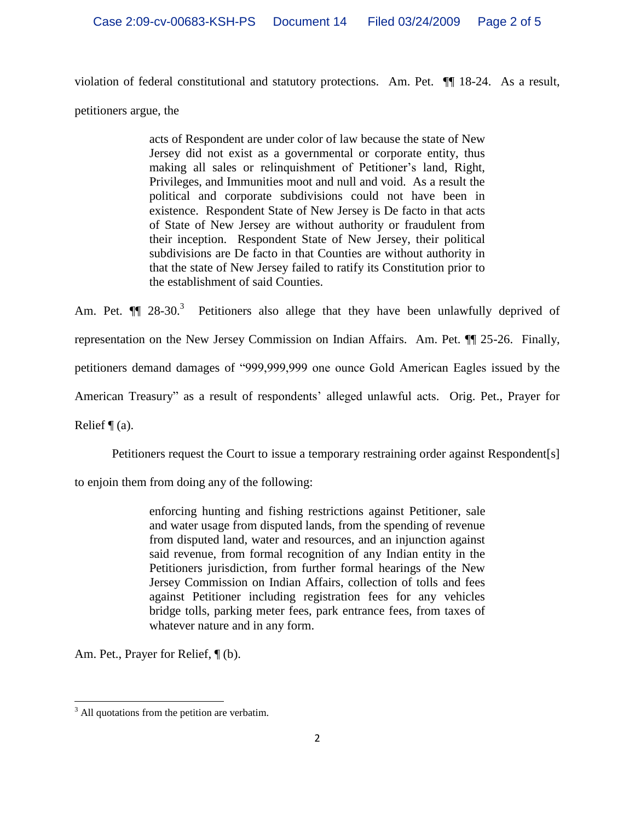violation of federal constitutional and statutory protections. Am. Pet. ¶¶ 18-24. As a result,

petitioners argue, the

acts of Respondent are under color of law because the state of New Jersey did not exist as a governmental or corporate entity, thus making all sales or relinquishment of Petitioner's land, Right, Privileges, and Immunities moot and null and void. As a result the political and corporate subdivisions could not have been in existence. Respondent State of New Jersey is De facto in that acts of State of New Jersey are without authority or fraudulent from their inception. Respondent State of New Jersey, their political subdivisions are De facto in that Counties are without authority in that the state of New Jersey failed to ratify its Constitution prior to the establishment of said Counties.

Am. Pet.  $\P$  28-30.<sup>3</sup> Petitioners also allege that they have been unlawfully deprived of representation on the New Jersey Commission on Indian Affairs. Am. Pet. ¶¶ 25-26. Finally, petitioners demand damages of "999,999,999 one ounce Gold American Eagles issued by the American Treasury" as a result of respondents' alleged unlawful acts. Orig. Pet., Prayer for Relief  $\P$  (a).

Petitioners request the Court to issue a temporary restraining order against Respondent[s]

to enjoin them from doing any of the following:

enforcing hunting and fishing restrictions against Petitioner, sale and water usage from disputed lands, from the spending of revenue from disputed land, water and resources, and an injunction against said revenue, from formal recognition of any Indian entity in the Petitioners jurisdiction, from further formal hearings of the New Jersey Commission on Indian Affairs, collection of tolls and fees against Petitioner including registration fees for any vehicles bridge tolls, parking meter fees, park entrance fees, from taxes of whatever nature and in any form.

Am. Pet., Prayer for Relief,  $\P$  (b).

 $\overline{\phantom{a}}$  $3$  All quotations from the petition are verbatim.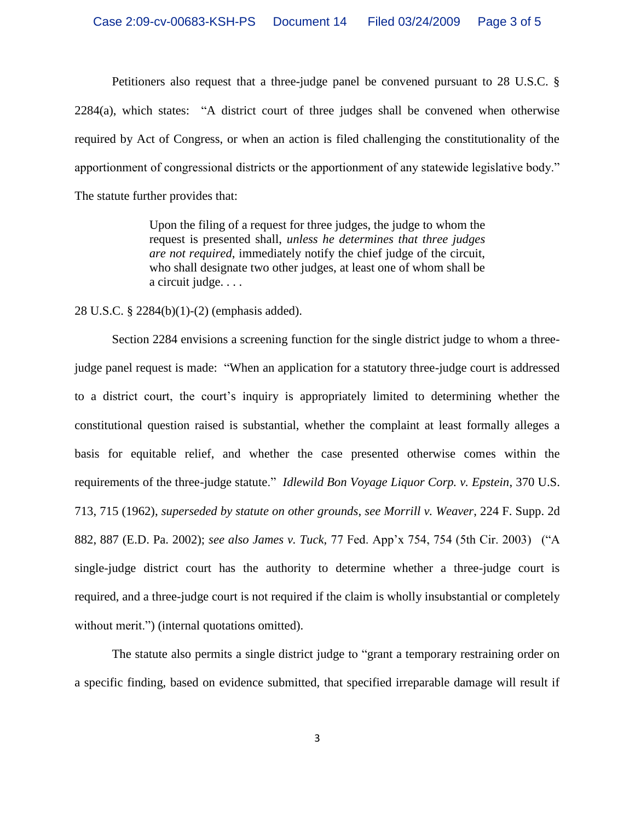Petitioners also request that a three-judge panel be convened pursuant to 28 U.S.C. § 2284(a), which states: "A district court of three judges shall be convened when otherwise required by Act of Congress, or when an action is filed challenging the constitutionality of the apportionment of congressional districts or the apportionment of any statewide legislative body." The statute further provides that:

> Upon the filing of a request for three judges, the judge to whom the request is presented shall, *unless he determines that three judges are not required*, immediately notify the chief judge of the circuit, who shall designate two other judges, at least one of whom shall be a circuit judge. . . .

## 28 U.S.C. § 2284(b)(1)-(2) (emphasis added).

Section 2284 envisions a screening function for the single district judge to whom a threejudge panel request is made: "When an application for a statutory three-judge court is addressed to a district court, the court's inquiry is appropriately limited to determining whether the constitutional question raised is substantial, whether the complaint at least formally alleges a basis for equitable relief, and whether the case presented otherwise comes within the requirements of the three-judge statute." *Idlewild Bon Voyage Liquor Corp. v. Epstein*, 370 U.S. 713, 715 (1962), *superseded by statute on other grounds*, *see Morrill v. Weaver*, 224 F. Supp. 2d 882, 887 (E.D. Pa. 2002); *see also James v. Tuck*, 77 Fed. App'x 754, 754 (5th Cir. 2003) ("A single-judge district court has the authority to determine whether a three-judge court is required, and a three-judge court is not required if the claim is wholly insubstantial or completely without merit.") (internal quotations omitted).

The statute also permits a single district judge to "grant a temporary restraining order on a specific finding, based on evidence submitted, that specified irreparable damage will result if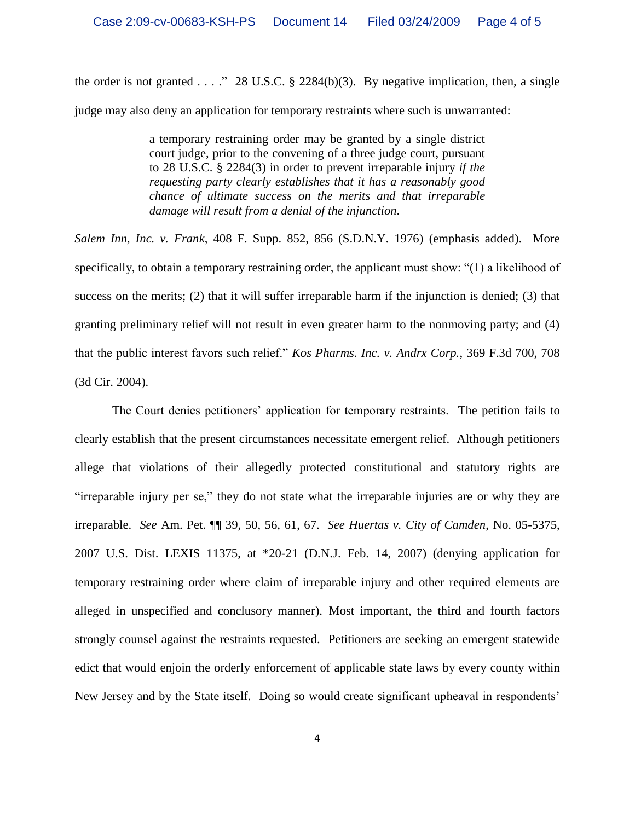the order is not granted . . . ." 28 U.S.C.  $\S$  2284(b)(3). By negative implication, then, a single judge may also deny an application for temporary restraints where such is unwarranted:

> a temporary restraining order may be granted by a single district court judge, prior to the convening of a three judge court, pursuant to 28 U.S.C. § 2284(3) in order to prevent irreparable injury *if the requesting party clearly establishes that it has a reasonably good chance of ultimate success on the merits and that irreparable damage will result from a denial of the injunction*.

*Salem Inn, Inc. v. Frank*, 408 F. Supp. 852, 856 (S.D.N.Y. 1976) (emphasis added). More specifically, to obtain a temporary restraining order, the applicant must show: "(1) a likelihood of success on the merits; (2) that it will suffer irreparable harm if the injunction is denied; (3) that granting preliminary relief will not result in even greater harm to the nonmoving party; and (4) that the public interest favors such relief." *Kos Pharms. Inc. v. Andrx Corp.*, 369 F.3d 700, 708 (3d Cir. 2004).

The Court denies petitioners' application for temporary restraints. The petition fails to clearly establish that the present circumstances necessitate emergent relief. Although petitioners allege that violations of their allegedly protected constitutional and statutory rights are "irreparable injury per se," they do not state what the irreparable injuries are or why they are irreparable. *See* Am. Pet. ¶¶ 39, 50, 56, 61, 67. *See Huertas v. City of Camden*, No. 05-5375, 2007 U.S. Dist. LEXIS 11375, at \*20-21 (D.N.J. Feb. 14, 2007) (denying application for temporary restraining order where claim of irreparable injury and other required elements are alleged in unspecified and conclusory manner). Most important, the third and fourth factors strongly counsel against the restraints requested. Petitioners are seeking an emergent statewide edict that would enjoin the orderly enforcement of applicable state laws by every county within New Jersey and by the State itself. Doing so would create significant upheaval in respondents'